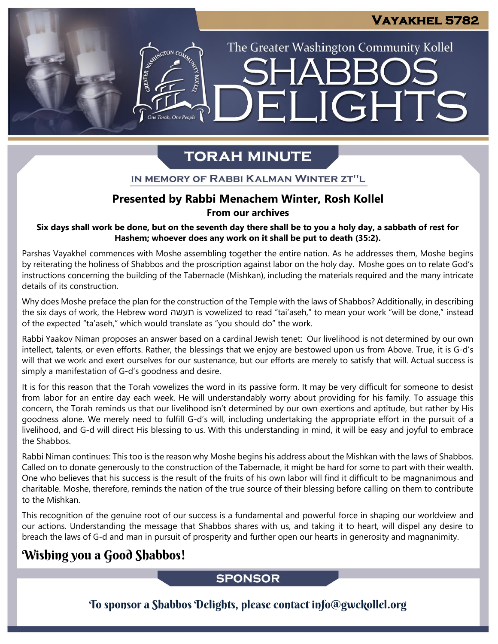# LIGHTS FI

The Greater Washington Community Kollel

# **TORAH MINUTE**

## IN MEMORY OF RABBI KALMAN WINTER ZT"L

# **Presented by Rabbi Menachem Winter, Rosh Kollel From our archives**

### Six days shall work be done, but on the seventh day there shall be to you a holy day, a sabbath of rest for **Hashem; whoever does any work on it shall be put to death (35:2).**

Parshas Vayakhel commences with Moshe assembling together the entire nation. As he addresses them, Moshe begins by reiterating the holiness of Shabbos and the proscription against labor on the holy day. Moshe goes on to relate God's instructions concerning the building of the Tabernacle (Mishkan), including the materials required and the many intricate details of its construction.

Why does Moshe preface the plan for the construction of the Temple with the laws of Shabbos? Additionally, in describing the six days of work, the Hebrew word תעשה is vowelized to read "tai'aseh," to mean your work "will be done," instead of the expected "ta'aseh," which would translate as "you should do" the work.

Rabbi Yaakov Niman proposes an answer based on a cardinal Jewish tenet: Our livelihood is not determined by our own intellect, talents, or even efforts. Rather, the blessings that we enjoy are bestowed upon us from Above. True, it is G-d's will that we work and exert ourselves for our sustenance, but our efforts are merely to satisfy that will. Actual success is simply a manifestation of G-d's goodness and desire.

It is for this reason that the Torah vowelizes the word in its passive form. It may be very difficult for someone to desist from labor for an entire day each week. He will understandably worry about providing for his family. To assuage this concern, the Torah reminds us that our livelihood isn't determined by our own exertions and aptitude, but rather by His goodness alone. We merely need to fulfill G-d's will, including undertaking the appropriate effort in the pursuit of a livelihood, and G-d will direct His blessing to us. With this understanding in mind, it will be easy and joyful to embrace the Shabbos.

Rabbi Niman continues: This too is the reason why Moshe begins his address about the Mishkan with the laws of Shabbos. Called on to donate generously to the construction of the Tabernacle, it might be hard for some to part with their wealth. One who believes that his success is the result of the fruits of his own labor will find it difficult to be magnanimous and charitable. Moshe, therefore, reminds the nation of the true source of their blessing before calling on them to contribute to the Mishkan.

This recognition of the genuine root of our success is a fundamental and powerful force in shaping our worldview and our actions. Understanding the message that Shabbos shares with us, and taking it to heart, will dispel any desire to breach the laws of G-d and man in pursuit of prosperity and further open our hearts in generosity and magnanimity.

# Wishing you a Good Shabbos!

# **SPONSOR**

To sponsor a Shabbos Delights, please contact info@gwckollel.org